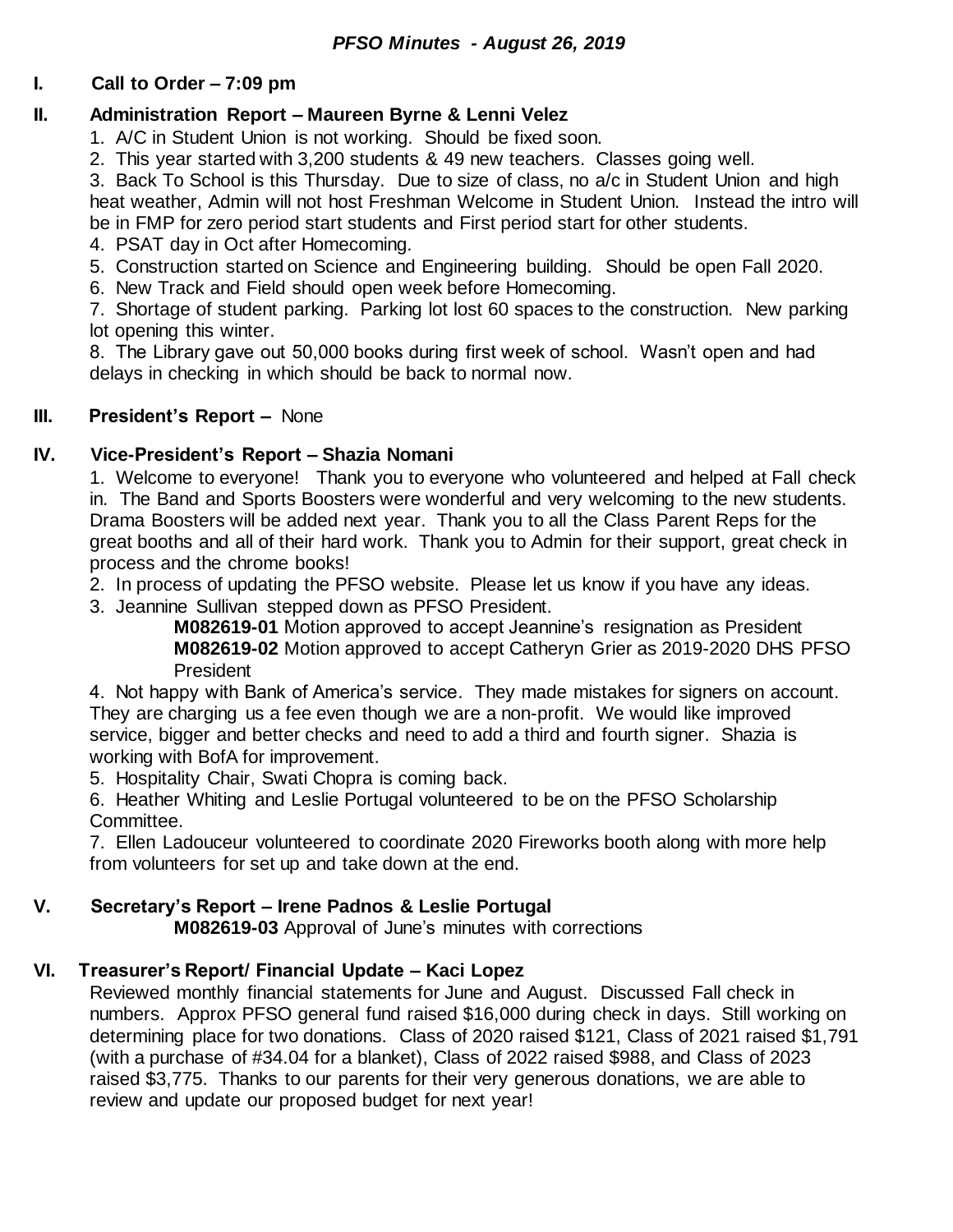## **I. Call to Order – 7:09 pm**

# **II. Administration Report – Maureen Byrne & Lenni Velez**

- 1. A/C in Student Union is not working. Should be fixed soon.
- 2. This year started with 3,200 students & 49 new teachers. Classes going well.

3. Back To School is this Thursday. Due to size of class, no a/c in Student Union and high heat weather, Admin will not host Freshman Welcome in Student Union. Instead the intro will be in FMP for zero period start students and First period start for other students.

- 4. PSAT day in Oct after Homecoming.
- 5. Construction started on Science and Engineering building. Should be open Fall 2020.
- 6. New Track and Field should open week before Homecoming.

7. Shortage of student parking. Parking lot lost 60 spaces to the construction. New parking lot opening this winter.

8. The Library gave out 50,000 books during first week of school. Wasn't open and had delays in checking in which should be back to normal now.

# **III. President's Report –** None

# **IV. Vice-President's Report – Shazia Nomani**

1. Welcome to everyone! Thank you to everyone who volunteered and helped at Fall check in. The Band and Sports Boosters were wonderful and very welcoming to the new students. Drama Boosters will be added next year. Thank you to all the Class Parent Reps for the great booths and all of their hard work. Thank you to Admin for their support, great check in process and the chrome books!

2. In process of updating the PFSO website. Please let us know if you have any ideas.

3. Jeannine Sullivan stepped down as PFSO President.

**M082619-01** Motion approved to accept Jeannine's resignation as President **M082619-02** Motion approved to accept Catheryn Grier as 2019-2020 DHS PFSO **President** 

4. Not happy with Bank of America's service. They made mistakes for signers on account. They are charging us a fee even though we are a non-profit. We would like improved service, bigger and better checks and need to add a third and fourth signer. Shazia is working with BofA for improvement.

5. Hospitality Chair, Swati Chopra is coming back.

6. Heather Whiting and Leslie Portugal volunteered to be on the PFSO Scholarship Committee.

7. Ellen Ladouceur volunteered to coordinate 2020 Fireworks booth along with more help from volunteers for set up and take down at the end.

# **V. Secretary's Report – Irene Padnos & Leslie Portugal**

**M082619-03** Approval of June's minutes with corrections

# **VI. Treasurer's Report/ Financial Update – Kaci Lopez**

Reviewed monthly financial statements for June and August. Discussed Fall check in numbers. Approx PFSO general fund raised \$16,000 during check in days. Still working on determining place for two donations. Class of 2020 raised \$121, Class of 2021 raised \$1,791 (with a purchase of #34.04 for a blanket), Class of 2022 raised \$988, and Class of 2023 raised \$3,775. Thanks to our parents for their very generous donations, we are able to review and update our proposed budget for next year!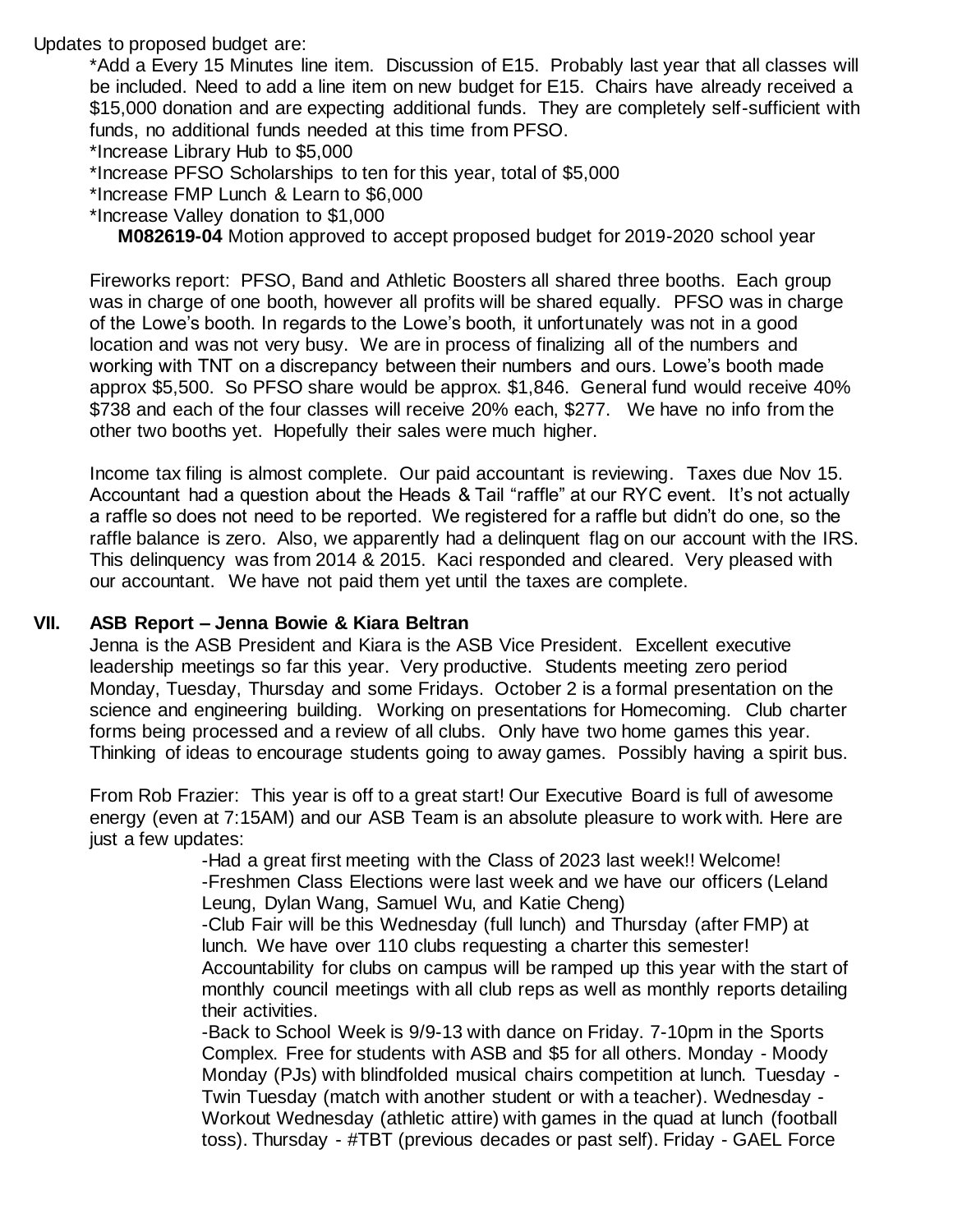Updates to proposed budget are:

\*Add a Every 15 Minutes line item. Discussion of E15. Probably last year that all classes will be included. Need to add a line item on new budget for E15. Chairs have already received a \$15,000 donation and are expecting additional funds. They are completely self-sufficient with funds, no additional funds needed at this time from PFSO.

\*Increase Library Hub to \$5,000

\*Increase PFSO Scholarships to ten for this year, total of \$5,000

\*Increase FMP Lunch & Learn to \$6,000

\*Increase Valley donation to \$1,000

**M082619-04** Motion approved to accept proposed budget for 2019-2020 school year

Fireworks report: PFSO, Band and Athletic Boosters all shared three booths. Each group was in charge of one booth, however all profits will be shared equally. PFSO was in charge of the Lowe's booth. In regards to the Lowe's booth, it unfortunately was not in a good location and was not very busy. We are in process of finalizing all of the numbers and working with TNT on a discrepancy between their numbers and ours. Lowe's booth made approx \$5,500. So PFSO share would be approx. \$1,846. General fund would receive 40% \$738 and each of the four classes will receive 20% each, \$277. We have no info from the other two booths yet. Hopefully their sales were much higher.

Income tax filing is almost complete. Our paid accountant is reviewing. Taxes due Nov 15. Accountant had a question about the Heads & Tail "raffle" at our RYC event. It's not actually a raffle so does not need to be reported. We registered for a raffle but didn't do one, so the raffle balance is zero. Also, we apparently had a delinquent flag on our account with the IRS. This delinquency was from 2014 & 2015. Kaci responded and cleared. Very pleased with our accountant. We have not paid them yet until the taxes are complete.

#### **VII. ASB Report – Jenna Bowie & Kiara Beltran**

Jenna is the ASB President and Kiara is the ASB Vice President. Excellent executive leadership meetings so far this year. Very productive. Students meeting zero period Monday, Tuesday, Thursday and some Fridays. October 2 is a formal presentation on the science and engineering building. Working on presentations for Homecoming. Club charter forms being processed and a review of all clubs. Only have two home games this year. Thinking of ideas to encourage students going to away games. Possibly having a spirit bus.

From Rob Frazier: This year is off to a great start! Our Executive Board is full of awesome energy (even at 7:15AM) and our ASB Team is an absolute pleasure to work with. Here are just a few updates:

-Had a great first meeting with the Class of 2023 last week!! Welcome! -Freshmen Class Elections were last week and we have our officers (Leland Leung, Dylan Wang, Samuel Wu, and Katie Cheng)

-Club Fair will be this Wednesday (full lunch) and Thursday (after FMP) at lunch. We have over 110 clubs requesting a charter this semester! Accountability for clubs on campus will be ramped up this year with the start of monthly council meetings with all club reps as well as monthly reports detailing their activities.

-Back to School Week is 9/9-13 with dance on Friday. 7-10pm in the Sports Complex. Free for students with ASB and \$5 for all others. Monday - Moody Monday (PJs) with blindfolded musical chairs competition at lunch. Tuesday - Twin Tuesday (match with another student or with a teacher). Wednesday - Workout Wednesday (athletic attire) with games in the quad at lunch (football toss). Thursday - #TBT (previous decades or past self). Friday - GAEL Force